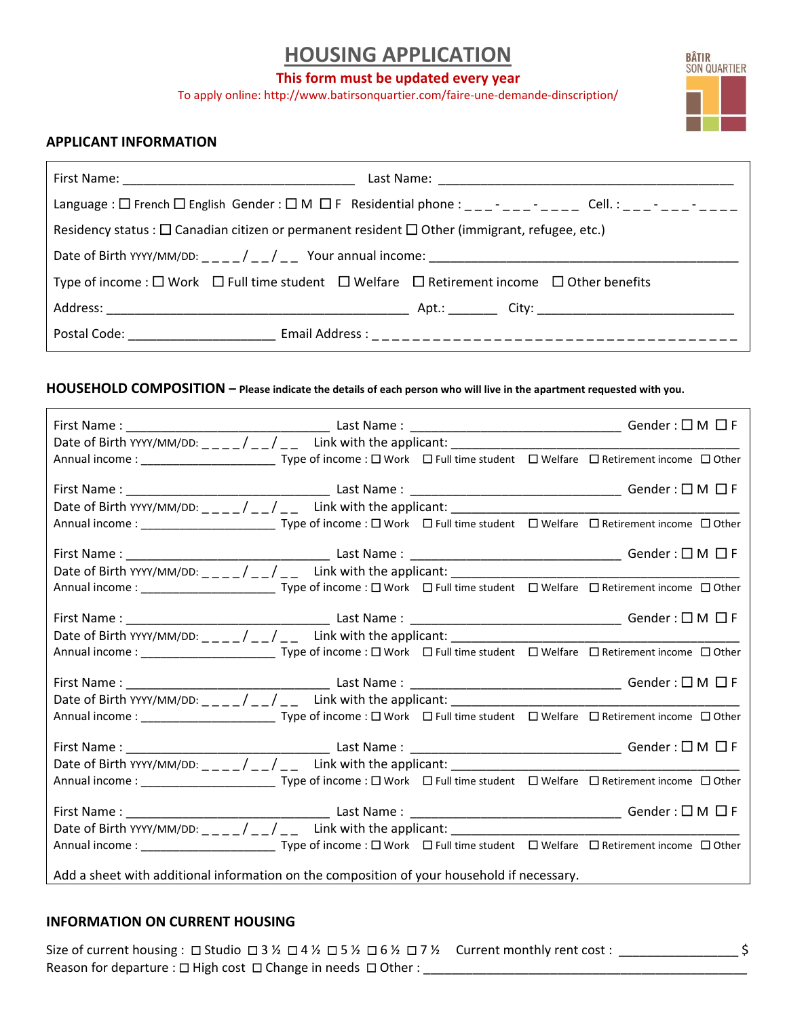# **HOUSING APPLICATION**

### **This form must be updated every year**

To apply online: http://www.batirsonquartier.com/faire-une-demande-dinscription/



## **APPLICANT INFORMATION**

| Language : $\Box$ French $\Box$ English Gender : $\Box$ M $\Box$ F Residential phone : _ _ _ _ _ _ _ _ _ _ _ _ _ Cell. : _ _ _ - _ _ _ _ _ _ _ _ _ |  |  |  |  |  |
|----------------------------------------------------------------------------------------------------------------------------------------------------|--|--|--|--|--|
| Residency status : $\Box$ Canadian citizen or permanent resident $\Box$ Other (immigrant, refugee, etc.)                                           |  |  |  |  |  |
|                                                                                                                                                    |  |  |  |  |  |
| Type of income : $\Box$ Work $\Box$ Full time student $\Box$ Welfare $\Box$ Retirement income $\Box$ Other benefits                                |  |  |  |  |  |
|                                                                                                                                                    |  |  |  |  |  |
|                                                                                                                                                    |  |  |  |  |  |

### **HOUSEHOLD COMPOSITION – Please indicate the details of each person who will live in the apartment requested with you.**

| Annual income : _______________________________Type of income : □ Work □ Full time student □ Welfare □ Retirement income □ Other   |  |  |  |  |  |  |  |
|------------------------------------------------------------------------------------------------------------------------------------|--|--|--|--|--|--|--|
|                                                                                                                                    |  |  |  |  |  |  |  |
|                                                                                                                                    |  |  |  |  |  |  |  |
| Annual income : ________________________________Type of income : □ Work □ Full time student □ Welfare □ Retirement income □ Other  |  |  |  |  |  |  |  |
|                                                                                                                                    |  |  |  |  |  |  |  |
|                                                                                                                                    |  |  |  |  |  |  |  |
| Annual income : _________________________________Type of income : □ Work □ Full time student □ Welfare □ Retirement income □ Other |  |  |  |  |  |  |  |
|                                                                                                                                    |  |  |  |  |  |  |  |
|                                                                                                                                    |  |  |  |  |  |  |  |
| Annual income : ________________________________Type of income : □ Work □ Full time student □ Welfare □ Retirement income □ Other  |  |  |  |  |  |  |  |
|                                                                                                                                    |  |  |  |  |  |  |  |
|                                                                                                                                    |  |  |  |  |  |  |  |
|                                                                                                                                    |  |  |  |  |  |  |  |
| Add a sheet with additional information on the composition of your household if necessary.                                         |  |  |  |  |  |  |  |

## **INFORMATION ON CURRENT HOUSING**

Size of current housing : Studio 3 ½ 4 ½ 5 ½ 6 ½ 7 ½ Current monthly rent cost : \_\_\_\_\_\_\_\_\_\_\_\_\_\_\_\_\_ \$ Reason for departure :  $\Box$  High cost  $\Box$  Change in needs  $\Box$  Other : \_\_\_\_\_\_\_\_\_